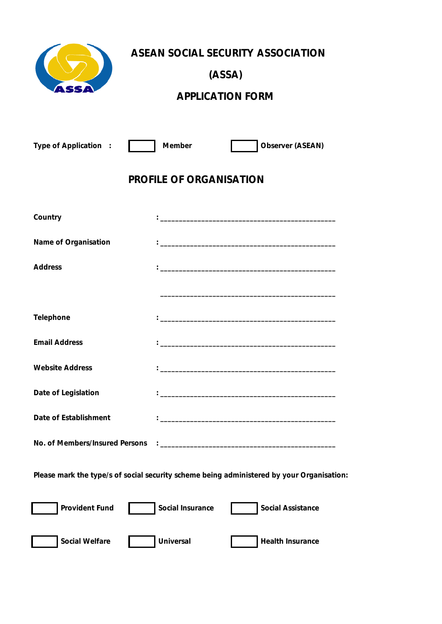

**ASEAN SOCIAL SECURITY ASSOCIATION**

**(ASSA)**

## **APPLICATION FORM**

| Type of Application<br>$\sim$ 1                                                           | Member           | Observer (ASEAN)                                                                                                      |  |  |  |  |  |
|-------------------------------------------------------------------------------------------|------------------|-----------------------------------------------------------------------------------------------------------------------|--|--|--|--|--|
| PROFILE OF ORGANISATION                                                                   |                  |                                                                                                                       |  |  |  |  |  |
| Country                                                                                   |                  |                                                                                                                       |  |  |  |  |  |
| Name of Organisation                                                                      |                  |                                                                                                                       |  |  |  |  |  |
| Address                                                                                   |                  |                                                                                                                       |  |  |  |  |  |
|                                                                                           |                  |                                                                                                                       |  |  |  |  |  |
| Telephone                                                                                 |                  |                                                                                                                       |  |  |  |  |  |
| <b>Email Address</b>                                                                      |                  |                                                                                                                       |  |  |  |  |  |
| <b>Website Address</b>                                                                    |                  | <u> 1989 - Johann Stein, marwolaethau a bhann an t-Amhair ann an t-Amhair an t-Amhair an t-Amhair an t-Amhair an </u> |  |  |  |  |  |
| Date of Legislation                                                                       |                  |                                                                                                                       |  |  |  |  |  |
| Date of Establishment                                                                     |                  |                                                                                                                       |  |  |  |  |  |
| No. of Members/Insured Persons                                                            |                  |                                                                                                                       |  |  |  |  |  |
| Please mark the type/s of social security scheme being administered by your Organisation: |                  |                                                                                                                       |  |  |  |  |  |
| Provident Fund                                                                            | Social Insurance | Social Assistance                                                                                                     |  |  |  |  |  |
| Social Welfare                                                                            | Universal        | Health Insurance                                                                                                      |  |  |  |  |  |